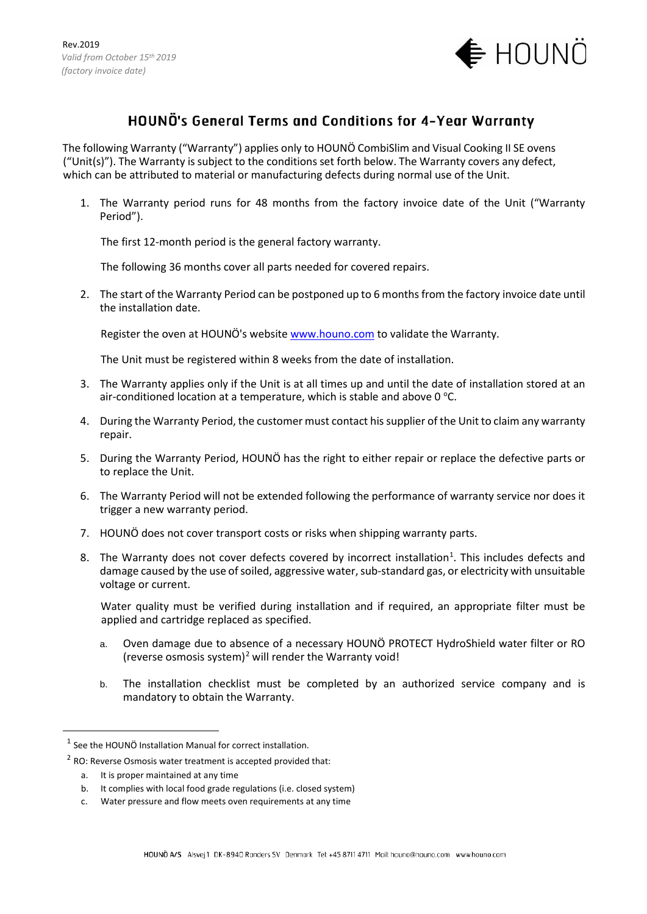

## HOUNÖ's General Terms and Conditions for 4-Year Warranty

The following Warranty ("Warranty") applies only to HOUNÖ CombiSlim and Visual Cooking II SE ovens ("Unit(s)"). The Warranty is subject to the conditions set forth below. The Warranty covers any defect, which can be attributed to material or manufacturing defects during normal use of the Unit.

1. The Warranty period runs for 48 months from the factory invoice date of the Unit ("Warranty Period").

The first 12-month period is the general factory warranty.

The following 36 months cover all parts needed for covered repairs.

2. The start of the Warranty Period can be postponed up to 6 months from the factory invoice date until the installation date.

Register the oven at HOUNÖ's website [www.houno.com](http://www.houno.com/) to validate the Warranty.

The Unit must be registered within 8 weeks from the date of installation.

- 3. The Warranty applies only if the Unit is at all times up and until the date of installation stored at an air-conditioned location at a temperature, which is stable and above 0  $\mathrm{^{\circ}C}.$
- 4. During the Warranty Period, the customer must contact his supplier of the Unit to claim any warranty repair.
- 5. During the Warranty Period, HOUNÖ has the right to either repair or replace the defective parts or to replace the Unit.
- 6. The Warranty Period will not be extended following the performance of warranty service nor does it trigger a new warranty period.
- 7. HOUNÖ does not cover transport costs or risks when shipping warranty parts.
- 8. The Warranty does not cover defects covered by incorrect installation<sup>[1](#page-0-0)</sup>. This includes defects and damage caused by the use of soiled, aggressive water, sub-standard gas, or electricity with unsuitable voltage or current.

Water quality must be verified during installation and if required, an appropriate filter must be applied and cartridge replaced as specified.

- a. Oven damage due to absence of a necessary HOUNÖ PROTECT HydroShield water filter or RO (reverse osmosis system)<sup>[2](#page-0-1)</sup> will render the Warranty void!
- b. The installation checklist must be completed by an authorized service company and is mandatory to obtain the Warranty.

<span id="page-0-1"></span><span id="page-0-0"></span> $1$  See the HOUNÖ Installation Manual for correct installation.

 $2$  RO: Reverse Osmosis water treatment is accepted provided that:

a. It is proper maintained at any time

b. It complies with local food grade regulations (i.e. closed system)

c. Water pressure and flow meets oven requirements at any time